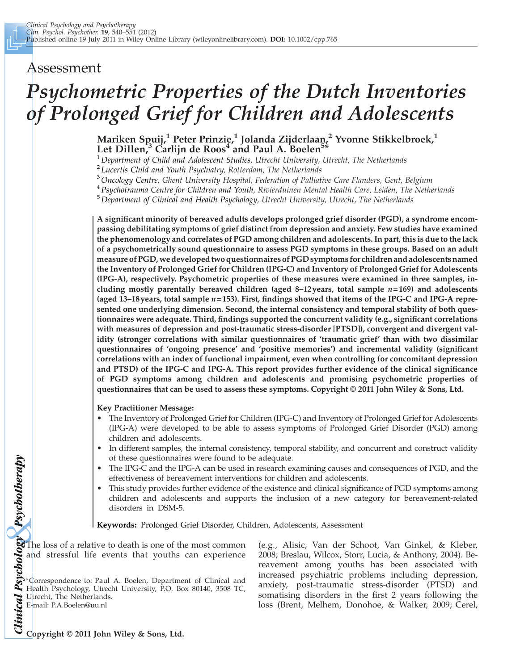# Assessment

# Psychometric Properties of the Dutch Inventories of Prolonged Grief for Children and Adolescents

Mariken Spuij,<sup>1</sup> Peter Prinzie,<sup>1</sup> Jolanda Zijderlaan,<sup>2</sup> Yvonne Stikkelbroek,<sup>1</sup> Let Dillen,  $\widetilde{C}$  arlijn de Roos $\widetilde{C}$  and Paul A. Boelen  $\widetilde{C}^*$ 

<sup>1</sup> Department of Child and Adolescent Studies, Utrecht University, Utrecht, The Netherlands<br><sup>2</sup> Lucertis Child and Youth Psychiatry, Rotterdam, The Netherlands<br><sup>3</sup> Oncology Centre, Ghent University Hospital, Federation o

A significant minority of bereaved adults develops prolonged grief disorder (PGD), a syndrome encompassing debilitating symptoms of grief distinct from depression and anxiety. Few studies have examined the phenomenology and correlates of PGD among children and adolescents. In part, this is due to the lack of a psychometrically sound questionnaire to assess PGD symptoms in these groups. Based on an adult measure of PGD,we developed two questionnaires of PGD symptoms for children and adolescents named the Inventory of Prolonged Grief for Children (IPG-C) and Inventory of Prolonged Grief for Adolescents (IPG-A), respectively. Psychometric properties of these measures were examined in three samples, including mostly parentally bereaved children (aged 8–12years, total sample  $n=169$ ) and adolescents (aged 13–18 years, total sample  $n=153$ ). First, findings showed that items of the IPG-C and IPG-A represented one underlying dimension. Second, the internal consistency and temporal stability of both questionnaires were adequate. Third, findings supported the concurrent validity (e.g., significant correlations with measures of depression and post-traumatic stress-disorder [PTSD]), convergent and divergent validity (stronger correlations with similar questionnaires of 'traumatic grief' than with two dissimilar questionnaires of 'ongoing presence' and 'positive memories') and incremental validity (significant correlations with an index of functional impairment, even when controlling for concomitant depression and PTSD) of the IPG-C and IPG-A. This report provides further evidence of the clinical significance of PGD symptoms among children and adolescents and promising psychometric properties of questionnaires that can be used to assess these symptoms. Copyright © 2011 John Wiley & Sons, Ltd.

# Key Practitioner Message:

- The Inventory of Prolonged Grief for Children (IPG-C) and Inventory of Prolonged Grief for Adolescents (IPG-A) were developed to be able to assess symptoms of Prolonged Grief Disorder (PGD) among children and adolescents.
- In different samples, the internal consistency, temporal stability, and concurrent and construct validity of these questionnaires were found to be adequate.
- The IPG-C and the IPG-A can be used in research examining causes and consequences of PGD, and the effectiveness of bereavement interventions for children and adolescents.
- This study provides further evidence of the existence and clinical significance of PGD symptoms among children and adolescents and supports the inclusion of a new category for bereavement-related disorders in DSM-5.

Keywords: Prolonged Grief Disorder, Children, Adolescents, Assessment

The loss of a relative to death is one of the most common and stressful life events that youths can experience (e.g., Alisic, Van der Schoot, Van Ginkel, & Kleber, 2008; Breslau, Wilcox, Storr, Lucia, & Anthony, 2004). Bereavement among youths has been associated with increased psychiatric problems including depression, anxiety, post-traumatic stress-disorder (PTSD) and somatising disorders in the first 2 years following the loss (Brent, Melhem, Donohoe, & Walker, 2009; Cerel,

<sup>\*</sup>Correspondence to: Paul A. Boelen, Department of Clinical and Health Psychology, Utrecht University, P.O. Box 80140, 3508 TC, Utrecht, The Netherlands. E-mail: P.A.Boelen@uu.nl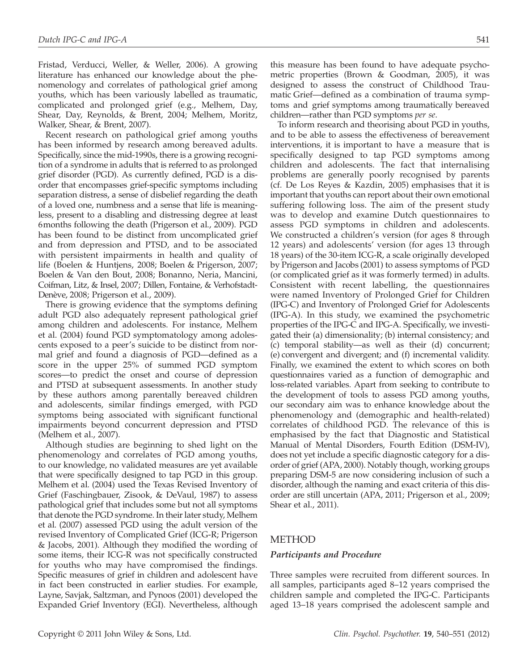Fristad, Verducci, Weller, & Weller, 2006). A growing literature has enhanced our knowledge about the phenomenology and correlates of pathological grief among youths, which has been variously labelled as traumatic, complicated and prolonged grief (e.g., Melhem, Day, Shear, Day, Reynolds, & Brent, 2004; Melhem, Moritz, Walker, Shear, & Brent, 2007).

Recent research on pathological grief among youths has been informed by research among bereaved adults. Specifically, since the mid-1990s, there is a growing recognition of a syndrome in adults that is referred to as prolonged grief disorder (PGD). As currently defined, PGD is a disorder that encompasses grief-specific symptoms including separation distress, a sense of disbelief regarding the death of a loved one, numbness and a sense that life is meaningless, present to a disabling and distressing degree at least 6months following the death (Prigerson et al., 2009). PGD has been found to be distinct from uncomplicated grief and from depression and PTSD, and to be associated with persistent impairments in health and quality of life (Boelen & Huntjens, 2008; Boelen & Prigerson, 2007; Boelen & Van den Bout, 2008; Bonanno, Neria, Mancini, Coifman, Litz, & Insel, 2007; Dillen, Fontaine, & Verhofstadt-Denève, 2008; Prigerson et al., 2009).

There is growing evidence that the symptoms defining adult PGD also adequately represent pathological grief among children and adolescents. For instance, Melhem et al. (2004) found PGD symptomatology among adolescents exposed to a peer's suicide to be distinct from normal grief and found a diagnosis of PGD—defined as a score in the upper 25% of summed PGD symptom scores—to predict the onset and course of depression and PTSD at subsequent assessments. In another study by these authors among parentally bereaved children and adolescents, similar findings emerged, with PGD symptoms being associated with significant functional impairments beyond concurrent depression and PTSD (Melhem et al., 2007).

Although studies are beginning to shed light on the phenomenology and correlates of PGD among youths, to our knowledge, no validated measures are yet available that were specifically designed to tap PGD in this group. Melhem et al. (2004) used the Texas Revised Inventory of Grief (Faschingbauer, Zisook, & DeVaul, 1987) to assess pathological grief that includes some but not all symptoms that denote the PGD syndrome. In their later study, Melhem et al. (2007) assessed PGD using the adult version of the revised Inventory of Complicated Grief (ICG-R; Prigerson & Jacobs, 2001). Although they modified the wording of some items, their ICG-R was not specifically constructed for youths who may have compromised the findings. Specific measures of grief in children and adolescent have in fact been constructed in earlier studies. For example, Layne, Savjak, Saltzman, and Pynoos (2001) developed the Expanded Grief Inventory (EGI). Nevertheless, although

this measure has been found to have adequate psychometric properties (Brown & Goodman, 2005), it was designed to assess the construct of Childhood Traumatic Grief—defined as a combination of trauma symptoms and grief symptoms among traumatically bereaved children—rather than PGD symptoms per se.

To inform research and theorising about PGD in youths, and to be able to assess the effectiveness of bereavement interventions, it is important to have a measure that is specifically designed to tap PGD symptoms among children and adolescents. The fact that internalising problems are generally poorly recognised by parents (cf. De Los Reyes & Kazdin, 2005) emphasises that it is important that youths can report about their own emotional suffering following loss. The aim of the present study was to develop and examine Dutch questionnaires to assess PGD symptoms in children and adolescents. We constructed a children's version (for ages 8 through 12 years) and adolescents' version (for ages 13 through 18 years) of the 30-item ICG-R, a scale originally developed by Prigerson and Jacobs (2001) to assess symptoms of PGD (or complicated grief as it was formerly termed) in adults. Consistent with recent labelling, the questionnaires were named Inventory of Prolonged Grief for Children (IPG-C) and Inventory of Prolonged Grief for Adolescents (IPG-A). In this study, we examined the psychometric properties of the IPG-C and IPG-A. Specifically, we investigated their (a) dimensionality; (b) internal consistency; and (c) temporal stability—as well as their (d) concurrent; (e) convergent and divergent; and (f) incremental validity. Finally, we examined the extent to which scores on both questionnaires varied as a function of demographic and loss-related variables. Apart from seeking to contribute to the development of tools to assess PGD among youths, our secondary aim was to enhance knowledge about the phenomenology and (demographic and health-related) correlates of childhood PGD. The relevance of this is emphasised by the fact that Diagnostic and Statistical Manual of Mental Disorders, Fourth Edition (DSM-IV), does not yet include a specific diagnostic category for a disorder of grief (APA, 2000). Notably though, working groups preparing DSM-5 are now considering inclusion of such a disorder, although the naming and exact criteria of this disorder are still uncertain (APA, 2011; Prigerson et al., 2009; Shear et al., 2011).

# METHOD

# Participants and Procedure

Three samples were recruited from different sources. In all samples, participants aged 8–12 years comprised the children sample and completed the IPG-C. Participants aged 13–18 years comprised the adolescent sample and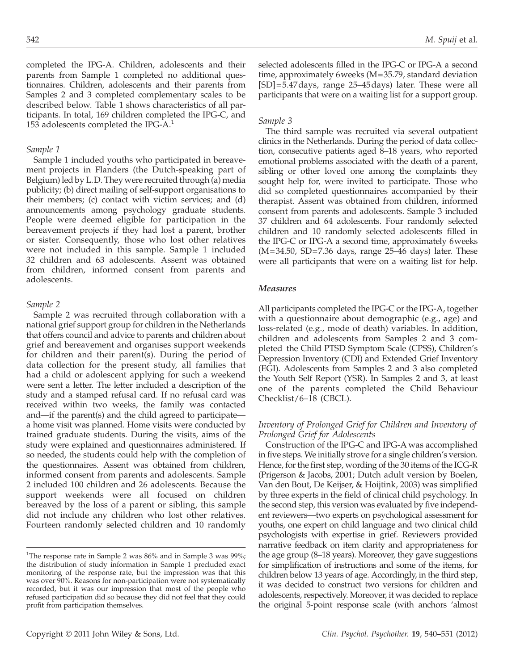completed the IPG-A. Children, adolescents and their parents from Sample 1 completed no additional questionnaires. Children, adolescents and their parents from Samples 2 and 3 completed complementary scales to be described below. Table 1 shows characteristics of all participants. In total, 169 children completed the IPG-C, and 153 adolescents completed the IPG-A.<sup>1</sup>

#### Sample 1

Sample 1 included youths who participated in bereavement projects in Flanders (the Dutch-speaking part of Belgium) led by L.D. They were recruited through (a) media publicity; (b) direct mailing of self-support organisations to their members; (c) contact with victim services; and (d) announcements among psychology graduate students. People were deemed eligible for participation in the bereavement projects if they had lost a parent, brother or sister. Consequently, those who lost other relatives were not included in this sample. Sample 1 included 32 children and 63 adolescents. Assent was obtained from children, informed consent from parents and adolescents.

#### Sample 2

Sample 2 was recruited through collaboration with a national grief support group for children in the Netherlands that offers council and advice to parents and children about grief and bereavement and organises support weekends for children and their parent(s). During the period of data collection for the present study, all families that had a child or adolescent applying for such a weekend were sent a letter. The letter included a description of the study and a stamped refusal card. If no refusal card was received within two weeks, the family was contacted and—if the parent(s) and the child agreed to participate a home visit was planned. Home visits were conducted by trained graduate students. During the visits, aims of the study were explained and questionnaires administered. If so needed, the students could help with the completion of the questionnaires. Assent was obtained from children, informed consent from parents and adolescents. Sample 2 included 100 children and 26 adolescents. Because the support weekends were all focused on children bereaved by the loss of a parent or sibling, this sample did not include any children who lost other relatives. Fourteen randomly selected children and 10 randomly

selected adolescents filled in the IPG-C or IPG-A a second time, approximately 6weeks (M=35.79, standard deviation [SD]=5.47days, range 25–45days) later. These were all participants that were on a waiting list for a support group.

#### Sample 3

The third sample was recruited via several outpatient clinics in the Netherlands. During the period of data collection, consecutive patients aged 8–18 years, who reported emotional problems associated with the death of a parent, sibling or other loved one among the complaints they sought help for, were invited to participate. Those who did so completed questionnaires accompanied by their therapist. Assent was obtained from children, informed consent from parents and adolescents. Sample 3 included 37 children and 64 adolescents. Four randomly selected children and 10 randomly selected adolescents filled in the IPG-C or IPG-A a second time, approximately 6weeks  $(M=34.50, SD=7.36$  days, range 25–46 days) later. These were all participants that were on a waiting list for help.

#### Measures

All participants completed the IPG-C or the IPG-A, together with a questionnaire about demographic (e.g., age) and loss-related (e.g., mode of death) variables. In addition, children and adolescents from Samples 2 and 3 completed the Child PTSD Symptom Scale (CPSS), Children's Depression Inventory (CDI) and Extended Grief Inventory (EGI). Adolescents from Samples 2 and 3 also completed the Youth Self Report (YSR). In Samples 2 and 3, at least one of the parents completed the Child Behaviour Checklist/6–18 (CBCL).

#### Inventory of Prolonged Grief for Children and Inventory of Prolonged Grief for Adolescents

Construction of the IPG-C and IPG-A was accomplished in five steps. We initially strove for a single children's version. Hence, for the first step, wording of the 30 items of the ICG-R (Prigerson & Jacobs, 2001; Dutch adult version by Boelen, Van den Bout, De Keijser, & Hoijtink, 2003) was simplified by three experts in the field of clinical child psychology. In the second step, this version was evaluated by five independent reviewers—two experts on psychological assessment for youths, one expert on child language and two clinical child psychologists with expertise in grief. Reviewers provided narrative feedback on item clarity and appropriateness for the age group (8–18 years). Moreover, they gave suggestions for simplification of instructions and some of the items, for children below 13 years of age. Accordingly, in the third step, it was decided to construct two versions for children and adolescents, respectively. Moreover, it was decided to replace the original 5-point response scale (with anchors 'almost

<sup>&</sup>lt;sup>1</sup>The response rate in Sample 2 was 86% and in Sample 3 was 99%; the distribution of study information in Sample 1 precluded exact monitoring of the response rate, but the impression was that this was over  $\frac{90}{%}$ . Reasons for non-participation were not systematically recorded, but it was our impression that most of the people who refused participation did so because they did not feel that they could profit from participation themselves.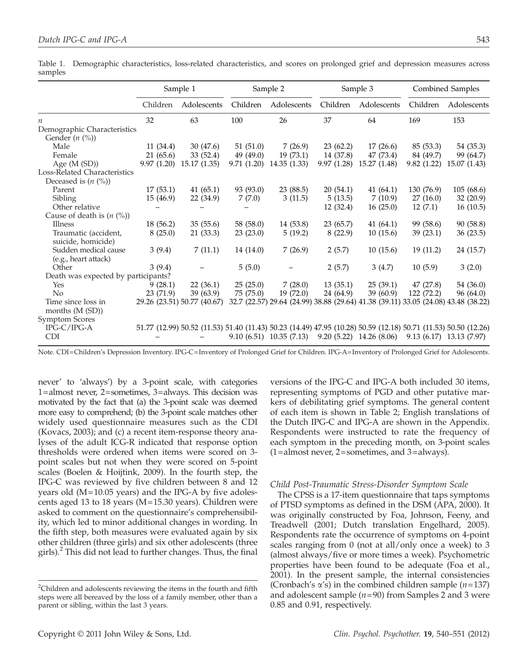|                                                   |            | Sample 1                                                                                                        | Sample 2   |              | Sample 3   |                                                                                    | Combined Samples |              |
|---------------------------------------------------|------------|-----------------------------------------------------------------------------------------------------------------|------------|--------------|------------|------------------------------------------------------------------------------------|------------------|--------------|
|                                                   | Children   | Adolescents                                                                                                     | Children   | Adolescents  | Children   | Adolescents                                                                        | Children         | Adolescents  |
| п                                                 | 32         | 63                                                                                                              | 100        | 26           | 37         | 64                                                                                 | 169              | 153          |
| Demographic Characteristics<br>Gender $(n \ (\%)$ |            |                                                                                                                 |            |              |            |                                                                                    |                  |              |
| Male                                              | 11(34.4)   | 30 (47.6)                                                                                                       | 51(51.0)   | 7(26.9)      | 23(62.2)   | 17(26.6)                                                                           | 85 (53.3)        | 54 (35.3)    |
| Female                                            | 21(65.6)   | 33 (52.4)                                                                                                       | 49 (49.0)  | 19 (73.1)    | 14 (37.8)  | 47 (73.4)                                                                          | 84 (49.7)        | 99 (64.7)    |
| Age $(M(SD))$                                     | 9.97(1.20) | 15.17 (1.35)                                                                                                    | 9.71(1.20) | 14.35 (1.33) | 9.97(1.28) | 15.27 (1.48)                                                                       | 9.82(1.22)       | 15.07 (1.43) |
| Loss-Related Characteristics                      |            |                                                                                                                 |            |              |            |                                                                                    |                  |              |
| Deceased is $(n \ (\%)$                           |            |                                                                                                                 |            |              |            |                                                                                    |                  |              |
| Parent                                            | 17(53.1)   | 41(65.1)                                                                                                        | 93 (93.0)  | 23(88.5)     | 20(54.1)   | 41 $(64.1)$                                                                        | 130 (76.9)       | 105(68.6)    |
| Sibling                                           | 15(46.9)   | 22 (34.9)                                                                                                       | 7(7.0)     | 3(11.5)      | 5(13.5)    | 7(10.9)                                                                            | 27(16.0)         | 32(20.9)     |
| Other relative                                    |            |                                                                                                                 |            |              | 12(32.4)   | 16(25.0)                                                                           | 12(7.1)          | 16(10.5)     |
| Cause of death is $(n \ (\%)$                     |            |                                                                                                                 |            |              |            |                                                                                    |                  |              |
| Illness                                           | 18 (56.2)  | 35(55.6)                                                                                                        | 58 (58.0)  | 14(53.8)     | 23(65.7)   | 41(64.1)                                                                           | 99 (58.6)        | 90 (58.8)    |
| Traumatic (accident,                              | 8(25.0)    | 21(33.3)                                                                                                        | 23(23.0)   | 5(19.2)      | 8(22.9)    | 10(15.6)                                                                           | 39(23.1)         | 36(23.5)     |
| suicide, homicide)                                |            |                                                                                                                 |            |              |            |                                                                                    |                  |              |
| Sudden medical cause                              | 3(9.4)     | 7(11.1)                                                                                                         | 14(14.0)   | 7(26.9)      | 2(5.7)     | 10(15.6)                                                                           | 19(11.2)         | 24 (15.7)    |
| (e.g., heart attack)                              |            |                                                                                                                 |            |              |            |                                                                                    |                  |              |
| Other                                             | 3(9.4)     |                                                                                                                 | 5(5.0)     |              | 2(5.7)     | 3(4.7)                                                                             | 10(5.9)          | 3(2.0)       |
| Death was expected by participants?               |            |                                                                                                                 |            |              |            |                                                                                    |                  |              |
| Yes                                               | 9(28.1)    | 22(36.1)                                                                                                        | 25(25.0)   | 7(28.0)      | 13(35.1)   | 25(39.1)                                                                           | 47 (27.8)        | 54 (36.0)    |
| N <sub>o</sub>                                    | 23(71.9)   | 39 (63.9)                                                                                                       | 75 (75.0)  | 19(72.0)     | 24 (64.9)  | 39(60.9)                                                                           | 122 (72.2)       | 96 (64.0)    |
| Time since loss in                                |            | 29.26 (23.51) 50.77 (40.67)                                                                                     |            |              |            | 32.7 (22.57) 29.64 (24.99) 38.88 (29.64) 41.38 (39.11) 33.05 (24.08) 43.48 (38.22) |                  |              |
| months $(M(SD))$                                  |            |                                                                                                                 |            |              |            |                                                                                    |                  |              |
|                                                   |            |                                                                                                                 |            |              |            |                                                                                    |                  |              |
| <b>Symptom Scores</b><br>IPG-C/IPG-A              |            |                                                                                                                 |            |              |            |                                                                                    |                  |              |
| <b>CDI</b>                                        |            | 51.77 (12.99) 50.52 (11.53) 51.40 (11.43) 50.23 (14.49) 47.95 (10.28) 50.59 (12.18) 50.71 (11.53) 50.50 (12.26) |            |              |            |                                                                                    |                  |              |
|                                                   |            |                                                                                                                 |            |              |            | 9.10 (6.51) 10.35 (7.13) 9.20 (5.22) 14.26 (8.06) 9.13 (6.17) 13.13 (7.97)         |                  |              |

Table 1. Demographic characteristics, loss-related characteristics, and scores on prolonged grief and depression measures across samples

Note. CDI=Children's Depression Inventory. IPG-C= Inventory of Prolonged Grief for Children. IPG-A= Inventory of Prolonged Grief for Adolescents.

never' to 'always') by a 3-point scale, with categories 1=almost never, 2=sometimes, 3=always. This decision was motivated by the fact that (a) the 3-point scale was deemed more easy to comprehend; (b) the 3-point scale matches other widely used questionnaire measures such as the CDI (Kovacs, 2003); and (c) a recent item-response theory analyses of the adult ICG-R indicated that response option thresholds were ordered when items were scored on 3 point scales but not when they were scored on 5-point scales (Boelen & Hoijtink, 2009). In the fourth step, the IPG-C was reviewed by five children between 8 and 12 years old (M=10.05 years) and the IPG-A by five adolescents aged 13 to 18 years (M=15.30 years). Children were asked to comment on the questionnaire's comprehensibility, which led to minor additional changes in wording. In the fifth step, both measures were evaluated again by six other children (three girls) and six other adolescents (three girls).<sup>2</sup> This did not lead to further changes. Thus, the final

versions of the IPG-C and IPG-A both included 30 items, representing symptoms of PGD and other putative markers of debilitating grief symptoms. The general content of each item is shown in Table 2; English translations of the Dutch IPG-C and IPG-A are shown in the Appendix. Respondents were instructed to rate the frequency of each symptom in the preceding month, on 3-point scales (1=almost never, 2=sometimes, and 3=always).

#### Child Post-Traumatic Stress-Disorder Symptom Scale

The CPSS is a 17-item questionnaire that taps symptoms of PTSD symptoms as defined in the DSM (APA, 2000). It was originally constructed by Foa, Johnson, Feeny, and Treadwell (2001; Dutch translation Engelhard, 2005). Respondents rate the occurrence of symptoms on 4-point scales ranging from 0 (not at all/only once a week) to 3 (almost always/five or more times a week). Psychometric properties have been found to be adequate (Foa et al., 2001). In the present sample, the internal consistencies (Cronbach's  $\alpha$ 's) in the combined children sample ( $n=137$ ) and adolescent sample  $(n=90)$  from Samples 2 and 3 were 0.85 and 0.91, respectively.

<sup>&</sup>lt;sup>2</sup>Children and adolescents reviewing the items in the fourth and fifth steps were all bereaved by the loss of a family member, other than a parent or sibling, within the last 3 years.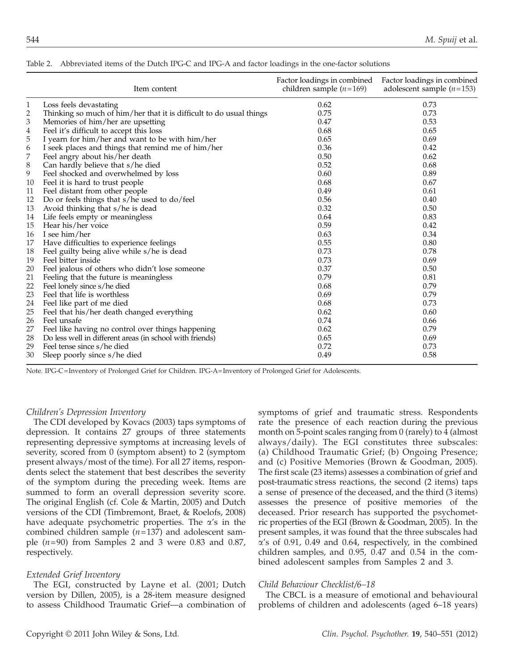|                | Item content                                                        | Factor loadings in combined<br>children sample $(n=169)$ | Factor loadings in combined<br>adolescent sample $(n=153)$ |
|----------------|---------------------------------------------------------------------|----------------------------------------------------------|------------------------------------------------------------|
| 1              | Loss feels devastating                                              | 0.62                                                     | 0.73                                                       |
| $\overline{2}$ | Thinking so much of him/her that it is difficult to do usual things | 0.75                                                     | 0.73                                                       |
| 3              | Memories of him/her are upsetting                                   | 0.47                                                     | 0.53                                                       |
| 4              | Feel it's difficult to accept this loss                             | 0.68                                                     | 0.65                                                       |
| 5              | I yearn for him/her and want to be with him/her                     | 0.65                                                     | 0.69                                                       |
| 6              | I seek places and things that remind me of him/her                  | 0.36                                                     | 0.42                                                       |
| 7              | Feel angry about his/her death                                      | 0.50                                                     | 0.62                                                       |
| 8              | Can hardly believe that s/he died                                   | 0.52                                                     | 0.68                                                       |
| 9              | Feel shocked and overwhelmed by loss                                | 0.60                                                     | 0.89                                                       |
| 10             | Feel it is hard to trust people                                     | 0.68                                                     | 0.67                                                       |
| 11             | Feel distant from other people                                      | 0.49                                                     | 0.61                                                       |
| 12             | Do or feels things that s/he used to do/feel                        | 0.56                                                     | 0.40                                                       |
| 13             | Avoid thinking that s/he is dead                                    | 0.32                                                     | 0.50                                                       |
| 14             | Life feels empty or meaningless                                     | 0.64                                                     | 0.83                                                       |
| 15             | Hear his/her voice                                                  | 0.59                                                     | 0.42                                                       |
| 16             | I see him/her                                                       | 0.63                                                     | 0.34                                                       |
| 17             | Have difficulties to experience feelings                            | 0.55                                                     | 0.80                                                       |
| 18             | Feel guilty being alive while s/he is dead                          | 0.73                                                     | 0.78                                                       |
| 19             | Feel bitter inside                                                  | 0.73                                                     | 0.69                                                       |
| 20             | Feel jealous of others who didn't lose someone                      | 0.37                                                     | 0.50                                                       |
| 21             | Feeling that the future is meaningless                              | 0.79                                                     | 0.81                                                       |
| 22             | Feel lonely since s/he died                                         | 0.68                                                     | 0.79                                                       |
| 23             | Feel that life is worthless                                         | 0.69                                                     | 0.79                                                       |
| 24             | Feel like part of me died                                           | 0.68                                                     | 0.73                                                       |
| 25             | Feel that his/her death changed everything                          | 0.62                                                     | 0.60                                                       |
| 26             | Feel unsafe                                                         | 0.74                                                     | 0.66                                                       |
| 27             | Feel like having no control over things happening                   | 0.62                                                     | 0.79                                                       |
| 28             | Do less well in different areas (in school with friends)            | 0.65                                                     | 0.69                                                       |
| 29             | Feel tense since s/he died                                          | 0.72                                                     | 0.73                                                       |
| 30             | Sleep poorly since s/he died                                        | 0.49                                                     | 0.58                                                       |

Table 2. Abbreviated items of the Dutch IPG-C and IPG-A and factor loadings in the one-factor solutions

Note. IPG-C= Inventory of Prolonged Grief for Children. IPG-A= Inventory of Prolonged Grief for Adolescents.

#### Children's Depression Inventory

The CDI developed by Kovacs (2003) taps symptoms of depression. It contains 27 groups of three statements representing depressive symptoms at increasing levels of severity, scored from 0 (symptom absent) to 2 (symptom present always/most of the time). For all 27 items, respondents select the statement that best describes the severity of the symptom during the preceding week. Items are summed to form an overall depression severity score. The original English (cf. Cole & Martin, 2005) and Dutch versions of the CDI (Timbremont, Braet, & Roelofs, 2008) have adequate psychometric properties. The  $\alpha$ 's in the combined children sample  $(n=137)$  and adolescent sample  $(n=90)$  from Samples 2 and 3 were 0.83 and 0.87, respectively.

#### Extended Grief Inventory

The EGI, constructed by Layne et al. (2001; Dutch version by Dillen, 2005), is a 28-item measure designed to assess Childhood Traumatic Grief—a combination of

symptoms of grief and traumatic stress. Respondents rate the presence of each reaction during the previous month on 5-point scales ranging from 0 (rarely) to 4 (almost always/daily). The EGI constitutes three subscales: (a) Childhood Traumatic Grief; (b) Ongoing Presence; and (c) Positive Memories (Brown & Goodman, 2005). The first scale (23 items) assesses a combination of grief and post-traumatic stress reactions, the second (2 items) taps a sense of presence of the deceased, and the third (3 items) assesses the presence of positive memories of the deceased. Prior research has supported the psychometric properties of the EGI (Brown & Goodman, 2005). In the present samples, it was found that the three subscales had  $\alpha$ 's of 0.91, 0.49 and 0.64, respectively, in the combined children samples, and 0.95, 0.47 and 0.54 in the combined adolescent samples from Samples 2 and 3.

#### Child Behaviour Checklist/6–18

The CBCL is a measure of emotional and behavioural problems of children and adolescents (aged 6–18 years)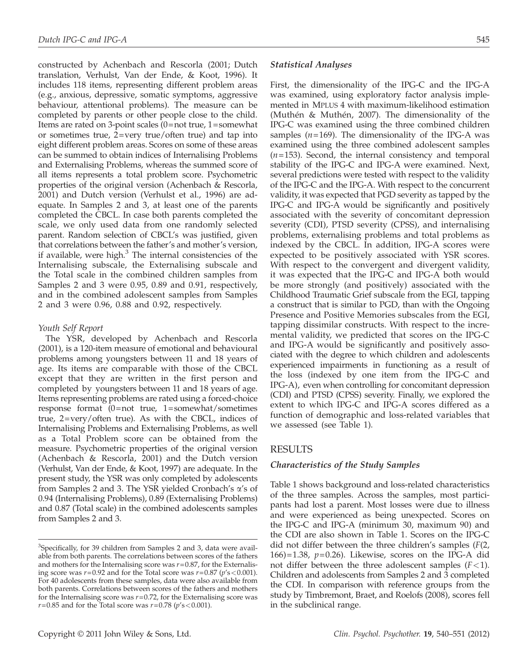constructed by Achenbach and Rescorla (2001; Dutch translation, Verhulst, Van der Ende, & Koot, 1996). It includes 118 items, representing different problem areas (e.g., anxious, depressive, somatic symptoms, aggressive behaviour, attentional problems). The measure can be completed by parents or other people close to the child. Items are rated on 3-point scales (0=not true, 1=somewhat or sometimes true, 2=very true/often true) and tap into eight different problem areas. Scores on some of these areas can be summed to obtain indices of Internalising Problems and Externalising Problems, whereas the summed score of all items represents a total problem score. Psychometric properties of the original version (Achenbach & Rescorla, 2001) and Dutch version (Verhulst et al., 1996) are adequate. In Samples 2 and 3, at least one of the parents completed the CBCL. In case both parents completed the scale, we only used data from one randomly selected parent. Random selection of CBCL's was justified, given that correlations between the father's and mother's version, if available, were high. $3$  The internal consistencies of the Internalising subscale, the Externalising subscale and the Total scale in the combined children samples from Samples 2 and 3 were 0.95, 0.89 and 0.91, respectively, and in the combined adolescent samples from Samples 2 and 3 were 0.96, 0.88 and 0.92, respectively.

# Youth Self Report

The YSR, developed by Achenbach and Rescorla (2001), is a 120-item measure of emotional and behavioural problems among youngsters between 11 and 18 years of age. Its items are comparable with those of the CBCL except that they are written in the first person and completed by youngsters between 11 and 18 years of age. Items representing problems are rated using a forced-choice response format (0=not true, 1=somewhat/sometimes true, 2=very/often true). As with the CBCL, indices of Internalising Problems and Externalising Problems, as well as a Total Problem score can be obtained from the measure. Psychometric properties of the original version (Achenbach & Rescorla, 2001) and the Dutch version (Verhulst, Van der Ende, & Koot, 1997) are adequate. In the present study, the YSR was only completed by adolescents from Samples 2 and 3. The YSR yielded Cronbach's a's of 0.94 (Internalising Problems), 0.89 (Externalising Problems) and 0.87 (Total scale) in the combined adolescents samples from Samples 2 and 3.

# Statistical Analyses

First, the dimensionality of the IPG-C and the IPG-A was examined, using exploratory factor analysis implemented in MPLUS 4 with maximum-likelihood estimation (Muthén & Muthén, 2007). The dimensionality of the IPG-C was examined using the three combined children samples  $(n=169)$ . The dimensionality of the IPG-A was examined using the three combined adolescent samples  $(n=153)$ . Second, the internal consistency and temporal stability of the IPG-C and IPG-A were examined. Next, several predictions were tested with respect to the validity of the IPG-C and the IPG-A. With respect to the concurrent validity, it was expected that PGD severity as tapped by the IPG-C and IPG-A would be significantly and positively associated with the severity of concomitant depression severity (CDI), PTSD severity (CPSS), and internalising problems, externalising problems and total problems as indexed by the CBCL. In addition, IPG-A scores were expected to be positively associated with YSR scores. With respect to the convergent and divergent validity, it was expected that the IPG-C and IPG-A both would be more strongly (and positively) associated with the Childhood Traumatic Grief subscale from the EGI, tapping a construct that is similar to PGD, than with the Ongoing Presence and Positive Memories subscales from the EGI, tapping dissimilar constructs. With respect to the incremental validity, we predicted that scores on the IPG-C and IPG-A would be significantly and positively associated with the degree to which children and adolescents experienced impairments in functioning as a result of the loss (indexed by one item from the IPG-C and IPG-A), even when controlling for concomitant depression (CDI) and PTSD (CPSS) severity. Finally, we explored the extent to which IPG-C and IPG-A scores differed as a function of demographic and loss-related variables that we assessed (see Table 1).

# RESULTS

# Characteristics of the Study Samples

Table 1 shows background and loss-related characteristics of the three samples. Across the samples, most participants had lost a parent. Most losses were due to illness and were experienced as being unexpected. Scores on the IPG-C and IPG-A (minimum 30, maximum 90) and the CDI are also shown in Table 1. Scores on the IPG-C did not differ between the three children's samples  $(F(2,$  $166$ =1.38,  $p=0.26$ ). Likewise, scores on the IPG-A did not differ between the three adolescent samples  $(F<1)$ . Children and adolescents from Samples 2 and 3 completed the CDI. In comparison with reference groups from the study by Timbremont, Braet, and Roelofs (2008), scores fell in the subclinical range.

<sup>&</sup>lt;sup>3</sup>Specifically, for 39 children from Samples 2 and 3, data were available from both parents. The correlations between scores of the fathers and mothers for the Internalising score was  $r=0.87$ , for the Externalising score was  $r=0.92$  and for the Total score was  $r=0.87$  ( $p's < 0.001$ ). For 40 adolescents from these samples, data were also available from both parents. Correlations between scores of the fathers and mothers for the Internalising score was  $r=0.72$ , for the Externalising score was  $r=0.85$  and for the Total score was  $r=0.78$  ( $p's < 0.001$ ).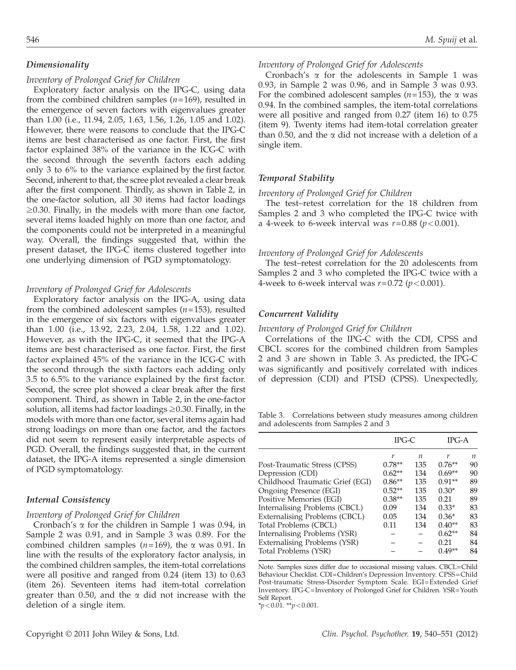#### Dimensionality

#### Inventory of Prolonged Grief for Children

Exploratory factor analysis on the IPG-C, using data from the combined children samples  $(n=169)$ , resulted in the emergence of seven factors with eigenvalues greater than 1.00 (i.e., 11.94, 2.05, 1.63, 1.56, 1.26, 1.05 and 1.02). However, there were reasons to conclude that the IPG-C items are best characterised as one factor. First, the first factor explained 38% of the variance in the ICG-C with the second through the seventh factors each adding only 3 to 6% to the variance explained by the first factor. Second, inherent to that, the scree plot revealed a clear break after the first component. Thirdly, as shown in Table 2, in the one-factor solution, all 30 items had factor loadings  $\geq$ 0.30. Finally, in the models with more than one factor, several items loaded highly on more than one factor, and the components could not be interpreted in a meaningful way. Overall, the findings suggested that, within the present dataset, the IPG-C items clustered together into one underlying dimension of PGD symptomatology.

#### Inventory of Prolonged Grief for Adolescents

Exploratory factor analysis on the IPG-A, using data from the combined adolescent samples  $(n=153)$ , resulted in the emergence of six factors with eigenvalues greater than 1.00 (i.e., 13.92, 2.23, 2.04, 1.58, 1.22 and 1.02). However, as with the IPG-C, it seemed that the IPG-A items are best characterised as one factor. First, the first factor explained 45% of the variance in the ICG-C with the second through the sixth factors each adding only 3.5 to 6.5% to the variance explained by the first factor. Second, the scree plot showed a clear break after the first component. Third, as shown in Table 2, in the one-factor solution, all items had factor loadings  $\geq 0.30$ . Finally, in the models with more than one factor, several items again had strong loadings on more than one factor, and the factors did not seem to represent easily interpretable aspects of PGD. Overall, the findings suggested that, in the current dataset, the IPG-A items represented a single dimension of PGD symptomatology.

#### Internal Consistency

#### Inventory of Prolonged Grief for Children

Cronbach's  $\alpha$  for the children in Sample 1 was 0.94, in Sample 2 was 0.91, and in Sample 3 was 0.89. For the combined children samples ( $n=169$ ), the  $\alpha$  was 0.91. In line with the results of the exploratory factor analysis, in the combined children samples, the item-total correlations were all positive and ranged from 0.24 (item 13) to 0.63 (item 26). Seventeen items had item-total correlation greater than 0.50, and the  $\alpha$  did not increase with the deletion of a single item.

#### Inventory of Prolonged Grief for Adolescents

Cronbach's  $\alpha$  for the adolescents in Sample 1 was 0.93, in Sample 2 was 0.96, and in Sample 3 was 0.93. For the combined adolescent samples  $(n=153)$ , the  $\alpha$  was 0.94. In the combined samples, the item-total correlations were all positive and ranged from 0.27 (item 16) to 0.75 (item 9). Twenty items had item-total correlation greater than 0.50, and the  $\alpha$  did not increase with a deletion of a single item.

#### Temporal Stability

#### Inventory of Prolonged Grief for Children

The test–retest correlation for the 18 children from Samples 2 and 3 who completed the IPG-C twice with a 4-week to 6-week interval was  $r=0.88$  ( $p<0.001$ ).

#### Inventory of Prolonged Grief for Adolescents

The test–retest correlation for the 20 adolescents from Samples 2 and 3 who completed the IPG-C twice with a 4-week to 6-week interval was  $r=0.72$  ( $p<0.001$ ).

#### Concurrent Validity

#### Inventory of Prolonged Grief for Children

Correlations of the IPG-C with the CDI, CPSS and CBCL scores for the combined children from Samples 2 and 3 are shown in Table 3. As predicted, the IPG-C was significantly and positively correlated with indices of depression (CDI) and PTSD (CPSS). Unexpectedly,

Table 3. Correlations between study measures among children and adolescents from Samples 2 and 3

|                                 | IPG-C    |     | IPG-A    |    |
|---------------------------------|----------|-----|----------|----|
|                                 | r        | п   | r        | п  |
| Post-Traumatic Stress (CPSS)    | $0.78**$ | 135 | $0.76**$ | 90 |
| Depression (CDI)                | $0.62**$ | 134 | $0.69**$ | 90 |
| Childhood Traumatic Grief (EGI) | $0.86**$ | 135 | $0.91**$ | 89 |
| Ongoing Presence (EGI)          | $0.52**$ | 135 | $0.30*$  | 89 |
| Positive Memories (EGI)         | $0.38**$ | 135 | 0.21     | 89 |
| Internalising Problems (CBCL)   | 0.09     | 134 | $0.33*$  | 83 |
| Externalising Problems (CBCL)   | 0.05     | 134 | $0.36*$  | 83 |
| Total Problems (CBCL)           | 0.11     | 134 | $0.40**$ | 83 |
| Internalising Problems (YSR)    |          |     | $0.62**$ | 84 |
| Externalising Problems (YSR)    |          |     | 0.21     | 84 |
| Total Problems (YSR)            |          |     | $0.49**$ | 84 |

Note. Samples sizes differ due to occasional missing values. CBCL=Child Behaviour Checklist. CDI=Children's Depression Inventory. CPSS=Child Post-traumatic Stress-Disorder Symptom Scale. EGI=Extended Grief Inventory. IPG-C=Inventory of Prolonged Grief for Children. YSR=Youth Self Report.

 $*_{p<0.01}$ . \*\*p $< 0.001$ .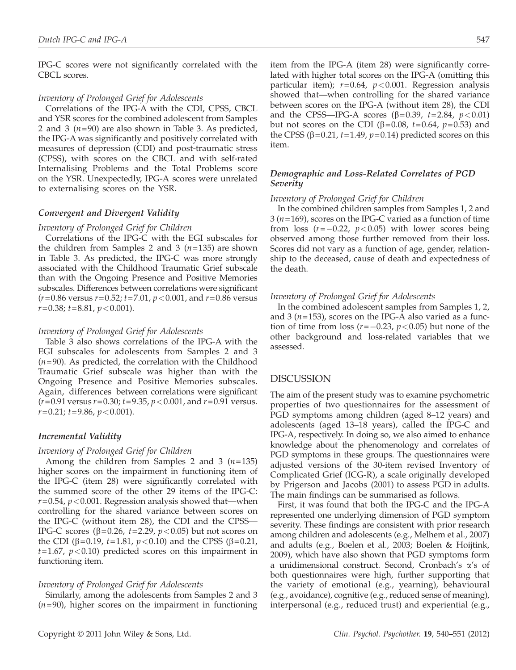IPG-C scores were not significantly correlated with the CBCL scores.

#### Inventory of Prolonged Grief for Adolescents

Correlations of the IPG-A with the CDI, CPSS, CBCL and YSR scores for the combined adolescent from Samples 2 and 3  $(n=90)$  are also shown in Table 3. As predicted, the IPG-A was significantly and positively correlated with measures of depression (CDI) and post-traumatic stress (CPSS), with scores on the CBCL and with self-rated Internalising Problems and the Total Problems score on the YSR. Unexpectedly, IPG-A scores were unrelated to externalising scores on the YSR.

#### Convergent and Divergent Validity

#### Inventory of Prolonged Grief for Children

Correlations of the IPG-C with the EGI subscales for the children from Samples 2 and 3  $(n=135)$  are shown in Table 3. As predicted, the IPG-C was more strongly associated with the Childhood Traumatic Grief subscale than with the Ongoing Presence and Positive Memories subscales. Differences between correlations were significant  $(r=0.86 \text{ versus } r=0.52; t=7.01, p<0.001, \text{ and } r=0.86 \text{ versus }$  $r=0.38; t=8.81, p<0.001$ ).

#### Inventory of Prolonged Grief for Adolescents

Table 3 also shows correlations of the IPG-A with the EGI subscales for adolescents from Samples 2 and 3  $(n=90)$ . As predicted, the correlation with the Childhood Traumatic Grief subscale was higher than with the Ongoing Presence and Positive Memories subscales. Again, differences between correlations were significant  $(r=0.91 \text{ versus } r=0.30; t=9.35, p<0.001, \text{ and } r=0.91 \text{ versus.}$  $r=0.21; t=9.86, p<0.001$ ).

### Incremental Validity

#### Inventory of Prolonged Grief for Children

Among the children from Samples 2 and 3  $(n=135)$ higher scores on the impairment in functioning item of the IPG-C (item 28) were significantly correlated with the summed score of the other 29 items of the IPG-C:  $r=0.54$ ,  $p<0.001$ . Regression analysis showed that—when controlling for the shared variance between scores on the IPG-C (without item 28), the CDI and the CPSS— IPG-C scores ( $\beta$ =0.26, *t*=2.29, *p*<0.05) but not scores on the CDI ( $\beta$ =0.19, *t*=1.81, *p*<0.10) and the CPSS ( $\beta$ =0.21,  $t=1.67$ ,  $p<0.10$ ) predicted scores on this impairment in functioning item.

#### Inventory of Prolonged Grief for Adolescents

Similarly, among the adolescents from Samples 2 and 3  $(n=90)$ , higher scores on the impairment in functioning item from the IPG-A (item 28) were significantly correlated with higher total scores on the IPG-A (omitting this particular item);  $r=0.64$ ,  $p<0.001$ . Regression analysis showed that—when controlling for the shared variance between scores on the IPG-A (without item 28), the CDI and the CPSS—IPG-A scores ( $\beta$ =0.39, *t*=2.84, *p*<0.01) but not scores on the CDI ( $\beta$ =0.08, *t*=0.64, *p*=0.53) and the CPSS ( $\beta$ =0.21, t=1.49, p=0.14) predicted scores on this item.

# Demographic and Loss-Related Correlates of PGD Severity

# Inventory of Prolonged Grief for Children

In the combined children samples from Samples 1, 2 and  $3(n=169)$ , scores on the IPG-C varied as a function of time from loss  $(r=-0.22, p<0.05)$  with lower scores being observed among those further removed from their loss. Scores did not vary as a function of age, gender, relationship to the deceased, cause of death and expectedness of the death.

# Inventory of Prolonged Grief for Adolescents

In the combined adolescent samples from Samples 1, 2, and 3 ( $n=153$ ), scores on the IPG-A also varied as a function of time from loss  $(r=-0.23, p<0.05)$  but none of the other background and loss-related variables that we assessed.

# DISCUSSION

The aim of the present study was to examine psychometric properties of two questionnaires for the assessment of PGD symptoms among children (aged 8–12 years) and adolescents (aged 13–18 years), called the IPG-C and IPG-A, respectively. In doing so, we also aimed to enhance knowledge about the phenomenology and correlates of PGD symptoms in these groups. The questionnaires were adjusted versions of the 30-item revised Inventory of Complicated Grief (ICG-R), a scale originally developed by Prigerson and Jacobs (2001) to assess PGD in adults. The main findings can be summarised as follows.

First, it was found that both the IPG-C and the IPG-A represented one underlying dimension of PGD symptom severity. These findings are consistent with prior research among children and adolescents (e.g., Melhem et al., 2007) and adults (e.g., Boelen et al., 2003; Boelen & Hoijtink, 2009), which have also shown that PGD symptoms form a unidimensional construct. Second, Cronbach's a's of both questionnaires were high, further supporting that the variety of emotional (e.g., yearning), behavioural (e.g., avoidance), cognitive (e.g., reduced sense of meaning), interpersonal (e.g., reduced trust) and experiential (e.g.,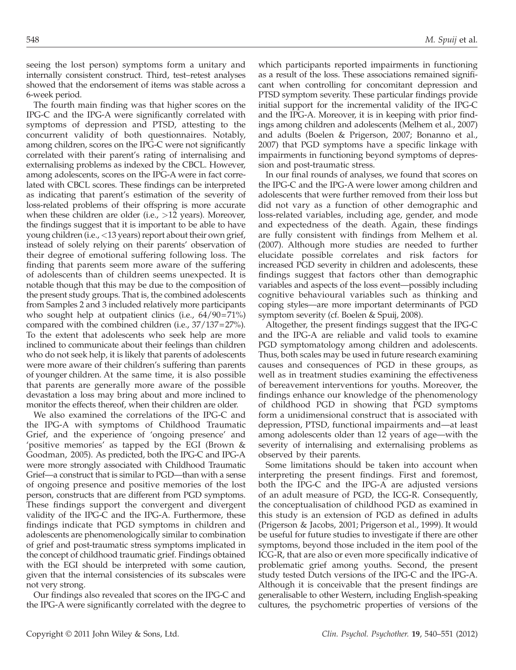seeing the lost person) symptoms form a unitary and internally consistent construct. Third, test–retest analyses showed that the endorsement of items was stable across a 6-week period.

The fourth main finding was that higher scores on the IPG-C and the IPG-A were significantly correlated with symptoms of depression and PTSD, attesting to the concurrent validity of both questionnaires. Notably, among children, scores on the IPG-C were not significantly correlated with their parent's rating of internalising and externalising problems as indexed by the CBCL. However, among adolescents, scores on the IPG-A were in fact correlated with CBCL scores. These findings can be interpreted as indicating that parent's estimation of the severity of loss-related problems of their offspring is more accurate when these children are older (i.e., >12 years). Moreover, the findings suggest that it is important to be able to have young children (i.e., <13 years) report about their own grief, instead of solely relying on their parents' observation of their degree of emotional suffering following loss. The finding that parents seem more aware of the suffering of adolescents than of children seems unexpected. It is notable though that this may be due to the composition of the present study groups. That is, the combined adolescents from Samples 2 and 3 included relatively more participants who sought help at outpatient clinics (i.e., 64/90=71%) compared with the combined children (i.e., 37/137=27%). To the extent that adolescents who seek help are more inclined to communicate about their feelings than children who do not seek help, it is likely that parents of adolescents were more aware of their children's suffering than parents of younger children. At the same time, it is also possible that parents are generally more aware of the possible devastation a loss may bring about and more inclined to monitor the effects thereof, when their children are older.

We also examined the correlations of the IPG-C and the IPG-A with symptoms of Childhood Traumatic Grief, and the experience of 'ongoing presence' and 'positive memories' as tapped by the EGI (Brown & Goodman, 2005). As predicted, both the IPG-C and IPG-A were more strongly associated with Childhood Traumatic Grief—a construct that is similar to PGD—than with a sense of ongoing presence and positive memories of the lost person, constructs that are different from PGD symptoms. These findings support the convergent and divergent validity of the IPG-C and the IPG-A. Furthermore, these findings indicate that PGD symptoms in children and adolescents are phenomenologically similar to combination of grief and post-traumatic stress symptoms implicated in the concept of childhood traumatic grief. Findings obtained with the EGI should be interpreted with some caution, given that the internal consistencies of its subscales were not very strong.

Our findings also revealed that scores on the IPG-C and the IPG-A were significantly correlated with the degree to which participants reported impairments in functioning as a result of the loss. These associations remained significant when controlling for concomitant depression and PTSD symptom severity. These particular findings provide initial support for the incremental validity of the IPG-C and the IPG-A. Moreover, it is in keeping with prior findings among children and adolescents (Melhem et al., 2007) and adults (Boelen & Prigerson, 2007; Bonanno et al., 2007) that PGD symptoms have a specific linkage with impairments in functioning beyond symptoms of depression and post-traumatic stress.

In our final rounds of analyses, we found that scores on the IPG-C and the IPG-A were lower among children and adolescents that were further removed from their loss but did not vary as a function of other demographic and loss-related variables, including age, gender, and mode and expectedness of the death. Again, these findings are fully consistent with findings from Melhem et al. (2007). Although more studies are needed to further elucidate possible correlates and risk factors for increased PGD severity in children and adolescents, these findings suggest that factors other than demographic variables and aspects of the loss event—possibly including cognitive behavioural variables such as thinking and coping styles—are more important determinants of PGD symptom severity (cf. Boelen & Spuij, 2008).

Altogether, the present findings suggest that the IPG-C and the IPG-A are reliable and valid tools to examine PGD symptomatology among children and adolescents. Thus, both scales may be used in future research examining causes and consequences of PGD in these groups, as well as in treatment studies examining the effectiveness of bereavement interventions for youths. Moreover, the findings enhance our knowledge of the phenomenology of childhood PGD in showing that PGD symptoms form a unidimensional construct that is associated with depression, PTSD, functional impairments and—at least among adolescents older than 12 years of age—with the severity of internalising and externalising problems as observed by their parents.

Some limitations should be taken into account when interpreting the present findings. First and foremost, both the IPG-C and the IPG-A are adjusted versions of an adult measure of PGD, the ICG-R. Consequently, the conceptualisation of childhood PGD as examined in this study is an extension of PGD as defined in adults (Prigerson & Jacobs, 2001; Prigerson et al., 1999). It would be useful for future studies to investigate if there are other symptoms, beyond those included in the item pool of the ICG-R, that are also or even more specifically indicative of problematic grief among youths. Second, the present study tested Dutch versions of the IPG-C and the IPG-A. Although it is conceivable that the present findings are generalisable to other Western, including English-speaking cultures, the psychometric properties of versions of the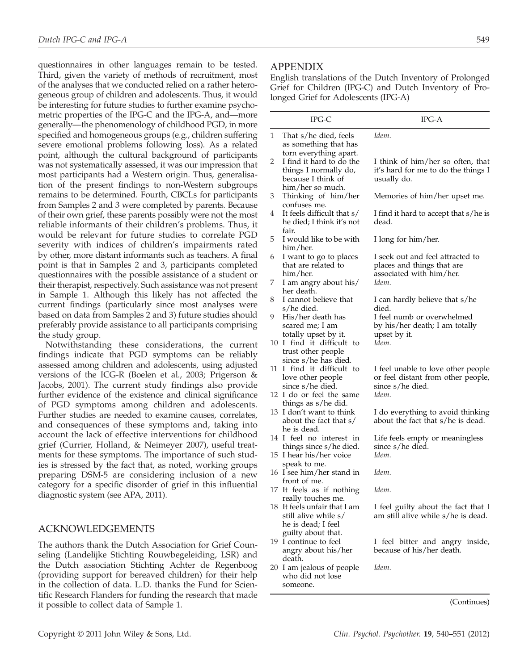questionnaires in other languages remain to be tested. Third, given the variety of methods of recruitment, most of the analyses that we conducted relied on a rather heterogeneous group of children and adolescents. Thus, it would be interesting for future studies to further examine psychometric properties of the IPG-C and the IPG-A, and—more generally—the phenomenology of childhood PGD, in more specified and homogeneous groups (e.g., children suffering severe emotional problems following loss). As a related point, although the cultural background of participants was not systematically assessed, it was our impression that most participants had a Western origin. Thus, generalisation of the present findings to non-Western subgroups remains to be determined. Fourth, CBCLs for participants from Samples 2 and 3 were completed by parents. Because of their own grief, these parents possibly were not the most reliable informants of their children's problems. Thus, it would be relevant for future studies to correlate PGD severity with indices of children's impairments rated by other, more distant informants such as teachers. A final point is that in Samples 2 and 3, participants completed questionnaires with the possible assistance of a student or their therapist, respectively. Such assistance was not present in Sample 1. Although this likely has not affected the current findings (particularly since most analyses were based on data from Samples 2 and 3) future studies should preferably provide assistance to all participants comprising the study group.

Notwithstanding these considerations, the current findings indicate that PGD symptoms can be reliably assessed among children and adolescents, using adjusted versions of the ICG-R (Boelen et al., 2003; Prigerson & Jacobs, 2001). The current study findings also provide further evidence of the existence and clinical significance of PGD symptoms among children and adolescents. Further studies are needed to examine causes, correlates, and consequences of these symptoms and, taking into account the lack of effective interventions for childhood grief (Currier, Holland, & Neimeyer 2007), useful treatments for these symptoms. The importance of such studies is stressed by the fact that, as noted, working groups preparing DSM-5 are considering inclusion of a new category for a specific disorder of grief in this influential diagnostic system (see APA, 2011).

# ACKNOWLEDGEMENTS

The authors thank the Dutch Association for Grief Counseling (Landelijke Stichting Rouwbegeleiding, LSR) and the Dutch association Stichting Achter de Regenboog (providing support for bereaved children) for their help in the collection of data. L.D. thanks the Fund for Scientific Research Flanders for funding the research that made it possible to collect data of Sample 1.

# APPENDIX

English translations of the Dutch Inventory of Prolonged Grief for Children (IPG-C) and Dutch Inventory of Prolonged Grief for Adolescents (IPG-A)

|    | IPG-C                                                                                                               | IPG-A                                                                                                 |
|----|---------------------------------------------------------------------------------------------------------------------|-------------------------------------------------------------------------------------------------------|
| 1  | That s/he died, feels<br>as something that has                                                                      | Idem.                                                                                                 |
| 2  | torn everything apart.<br>I find it hard to do the<br>things I normally do,<br>because I think of                   | I think of him/her so often, that<br>it's hard for me to do the things I<br>usually do.               |
| 3  | him/her so much.<br>Thinking of him/her<br>confuses me.                                                             | Memories of him/her upset me.                                                                         |
| 4  | It feels difficult that s/<br>he died; I think it's not<br>fair.                                                    | I find it hard to accept that s/he is<br>dead.                                                        |
| 5  | I would like to be with<br>him/her.                                                                                 | I long for him/her.                                                                                   |
| 6  | I want to go to places<br>that are related to<br>him/her.                                                           | I seek out and feel attracted to<br>places and things that are<br>associated with him/her.            |
| 7  | I am angry about his/<br>her death.                                                                                 | Idem.                                                                                                 |
| 8  | I cannot believe that<br>s/he died.                                                                                 | I can hardly believe that s/he<br>died.                                                               |
| 9  | His/her death has<br>scared me; I am                                                                                | I feel numb or overwhelmed<br>by his/her death; I am totally                                          |
|    | totally upset by it.<br>10 I find it difficult to<br>trust other people                                             | upset by it.<br>Idem.                                                                                 |
| 11 | since s/he has died.<br>I find it difficult to<br>love other people<br>since s/he died.<br>12 I do or feel the same | I feel unable to love other people<br>or feel distant from other people,<br>since s/he died.<br>Idem. |
|    | things as s/he did.<br>13 I don't want to think<br>about the fact that s/<br>he is dead.                            | I do everything to avoid thinking<br>about the fact that s/he is dead.                                |
|    | 14 I feel no interest in<br>things since s/he died.                                                                 | Life feels empty or meaningless<br>since s/he died.                                                   |
|    | 15 I hear his/her voice<br>speak to me.                                                                             | Idem.                                                                                                 |
|    | 16 I see him/her stand in<br>front of me.                                                                           | Idem.                                                                                                 |
|    | 17 It feels as if nothing<br>really touches me.                                                                     | Idem.                                                                                                 |
|    | 18 It feels unfair that I am<br>still alive while s/<br>he is dead; I feel<br>guilty about that.                    | I feel guilty about the fact that I<br>am still alive while s/he is dead.                             |
|    | 19 I continue to feel<br>angry about his/her                                                                        | I feel bitter and angry inside,<br>because of his/her death.                                          |
|    | death.<br>20 I am jealous of people<br>who did not lose<br>someone.                                                 | Idem.                                                                                                 |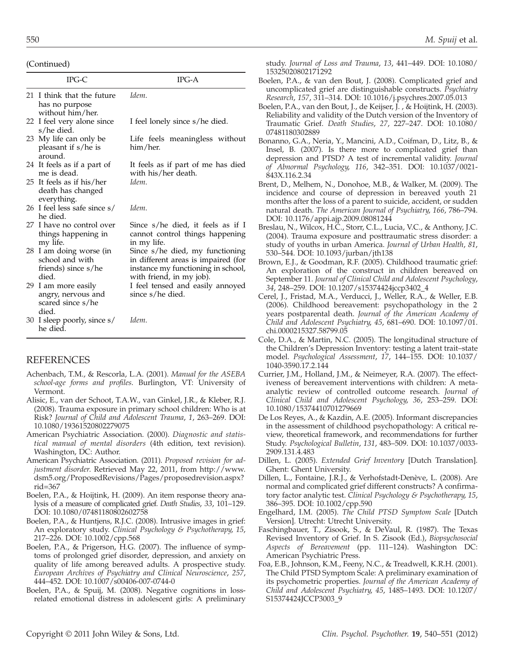(Continued)

| $IPG-C$                                                                    | $IPG-A$                                                                                                                                  |
|----------------------------------------------------------------------------|------------------------------------------------------------------------------------------------------------------------------------------|
| 21 I think that the future<br>has no purpose<br>without him/her.           | Idem.                                                                                                                                    |
| 22 I feel very alone since<br>s/he died.                                   | I feel lonely since s/he died.                                                                                                           |
| 23 My life can only be<br>pleasant if s/he is<br>around.                   | Life feels meaningless without<br>him/her.                                                                                               |
| 24 It feels as if a part of<br>me is dead.                                 | It feels as if part of me has died<br>with his/her death.                                                                                |
| 25 It feels as if his/her<br>death has changed<br>everything.              | Idem.                                                                                                                                    |
| 26 I feel less safe since s/<br>he died.                                   | Idem.                                                                                                                                    |
| 27 I have no control over<br>things happening in<br>my life.               | Since s/he died, it feels as if I<br>cannot control things happening<br>in my life.                                                      |
| 28 I am doing worse (in<br>school and with<br>friends) since s/he<br>died. | Since s/he died, my functioning<br>in different areas is impaired (for<br>instance my functioning in school,<br>with friend, in my job). |
| 29 I am more easily<br>angry, nervous and<br>scared since s/he<br>died.    | I feel tensed and easily annoyed<br>since s/he died.                                                                                     |
| 30 I sleep poorly, since s/<br>he died.                                    | Idem.                                                                                                                                    |

# REFERENCES

- Achenbach, T.M., & Rescorla, L.A. (2001). Manual for the ASEBA school-age forms and profiles. Burlington, VT: University of Vermont.
- Alisic, E., van der Schoot, T.A.W., van Ginkel, J.R., & Kleber, R.J. (2008). Trauma exposure in primary school children: Who is at Risk? Journal of Child and Adolescent Trauma, 1, 263–269. DOI: 10.1080/19361520802279075
- American Psychiatric Association. (2000). Diagnostic and statistical manual of mental disorders (4th edition, text revision). Washington, DC: Author.
- American Psychiatric Association. (2011). Proposed revision for adjustment disorder. Retrieved May 22, 2011, from http://www. dsm5.org/ProposedRevisions/Pages/proposedrevision.aspx? rid=367
- Boelen, P.A., & Hoijtink, H. (2009). An item response theory analysis of a measure of complicated grief. Death Studies, 33, 101–129. DOI: 10.1080/07481180802602758
- Boelen, P.A., & Huntjens, R.J.C. (2008). Intrusive images in grief: An exploratory study. Clinical Psychology & Psychotherapy, 15, 217–226. DOI: 10.1002/cpp.568
- Boelen, P.A., & Prigerson, H.G. (2007). The influence of symptoms of prolonged grief disorder, depression, and anxiety on quality of life among bereaved adults. A prospective study. European Archives of Psychiatry and Clinical Neuroscience, 257, 444–452. DOI: 10.1007/s00406-007-0744-0
- Boelen, P.A., & Spuij, M. (2008). Negative cognitions in lossrelated emotional distress in adolescent girls: A preliminary

study. Journal of Loss and Trauma, 13, 441–449. DOI: 10.1080/ 15325020802171292

- Boelen, P.A., & van den Bout, J. (2008). Complicated grief and uncomplicated grief are distinguishable constructs. Psychiatry Research, 157, 311–314. DOI: 10.1016/j.psychres.2007.05.013
- Boelen, P.A., van den Bout, J., de Keijser, J. , & Hoijtink, H. (2003). Reliability and validity of the Dutch version of the Inventory of Traumatic Grief. Death Studies, 27, 227–247. DOI: 10.1080/ 07481180302889
- Bonanno, G.A., Neria, Y., Mancini, A.D., Coifman, D., Litz, B., & Insel, B. (2007). Is there more to complicated grief than depression and PTSD? A test of incremental validity. Journal of Abnormal Psychology, 116, 342–351. DOI: 10.1037/0021- 843X.116.2.34
- Brent, D., Melhem, N., Donohoe, M.B., & Walker, M. (2009). The incidence and course of depression in bereaved youth 21 months after the loss of a parent to suicide, accident, or sudden natural death. The American Journal of Psychiatry, 166, 786–794. DOI: 10.1176/appi.ajp.2009.08081244
- Breslau, N., Wilcox, H.C., Storr, C.L., Lucia, V.C., & Anthony, J.C. (2004). Trauma exposure and posttraumatic stress disorder: a study of youths in urban America. Journal of Urban Health, 81, 530–544. DOI: 10.1093/jurban/jth138
- Brown, E.J., & Goodman, R.F. (2005). Childhood traumatic grief: An exploration of the construct in children bereaved on September 11. Journal of Clinical Child and Adolescent Psychology, 34, 248–259. DOI: 10.1207/s15374424jccp3402\_4
- Cerel, J., Fristad, M.A., Verducci, J., Weller, R.A., & Weller, E.B. (2006). Childhood bereavement: psychopathology in the 2 years postparental death. Journal of the American Academy of Child and Adolescent Psychiatry, 45, 681–690. DOI: 10.1097/01. chi.0000215327.58799.05
- Cole, D.A., & Martin, N.C. (2005). The longitudinal structure of the Children's Depression Inventory: testing a latent trait–state model. Psychological Assessment, 17, 144–155. DOI: 10.1037/ 1040-3590.17.2.144
- Currier, J.M., Holland, J.M., & Neimeyer, R.A. (2007). The effectiveness of bereavement interventions with children: A metaanalytic review of controlled outcome research. Journal of Clinical Child and Adolescent Psychology, 36, 253–259. DOI: 10.1080/15374410701279669
- De Los Reyes, A., & Kazdin, A.E. (2005). Informant discrepancies in the assessment of childhood psychopathology: A critical review, theoretical framework, and recommendations for further Study. Psychological Bulletin, 131, 483–509. DOI: 10.1037/0033- 2909.131.4.483
- Dillen, L. (2005). Extended Grief Inventory [Dutch Translation]. Ghent: Ghent University.
- Dillen, L., Fontaine, J.R.J., & Verhofstadt-Denève, L. (2008). Are normal and complicated grief different constructs? A confirmatory factor analytic test. Clinical Psychology & Psychotherapy, 15, 386–395. DOI: 10.1002/cpp.590
- Engelhard, I.M. (2005). The Child PTSD Symptom Scale [Dutch Version]. Utrecht: Utrecht University.
- Faschingbauer, T., Zisook, S., & DeVaul, R. (1987). The Texas Revised Inventory of Grief. In S. Zisook (Ed.), Biopsychosocial Aspects of Bereavement (pp. 111–124). Washington DC: American Psychiatric Press.
- Foa, E.B., Johnson, K.M., Feeny, N.C., & Treadwell, K.R.H. (2001). The Child PTSD Symptom Scale: A preliminary examination of its psychometric properties. Journal of the American Academy of Child and Adolescent Psychiatry, 45, 1485–1493. DOI: 10.1207/ S15374424JCCP3003\_9